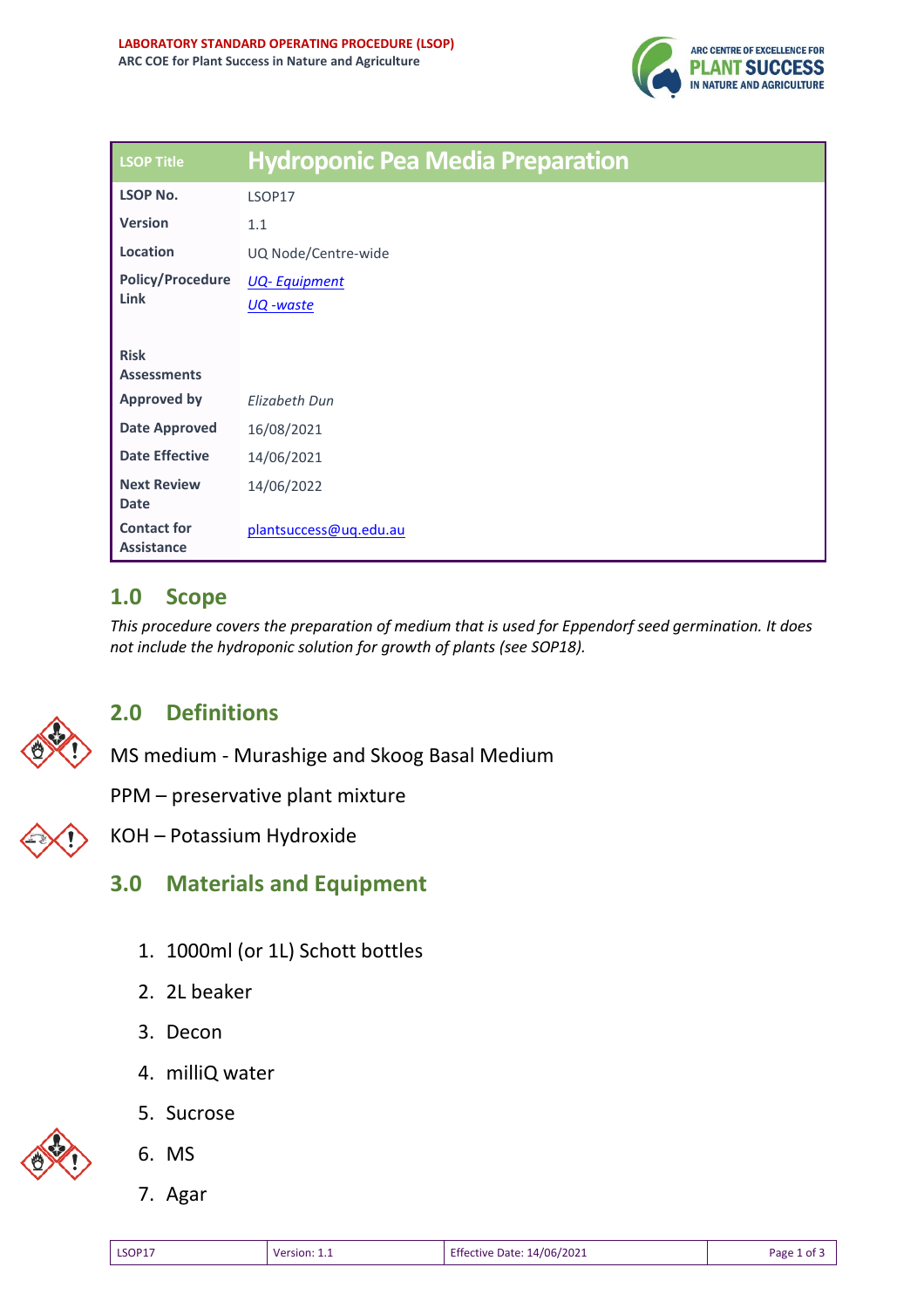

| <b>LSOP Title</b>                       | <b>Hydroponic Pea Media Preparation</b> |
|-----------------------------------------|-----------------------------------------|
| <b>LSOP No.</b>                         | LSOP17                                  |
| <b>Version</b>                          | 1.1                                     |
| Location                                | UQ Node/Centre-wide                     |
| <b>Policy/Procedure</b><br>Link         | <b>UQ-Equipment</b>                     |
|                                         | UQ -waste                               |
|                                         |                                         |
| <b>Risk</b><br><b>Assessments</b>       |                                         |
| <b>Approved by</b>                      | Elizabeth Dun                           |
| <b>Date Approved</b>                    | 16/08/2021                              |
| <b>Date Effective</b>                   | 14/06/2021                              |
| <b>Next Review</b><br><b>Date</b>       | 14/06/2022                              |
| <b>Contact for</b><br><b>Assistance</b> | plantsuccess@uq.edu.au                  |

## **1.0 Scope**

*This procedure covers the preparation of medium that is used for Eppendorf seed germination. It does not include the hydroponic solution for growth of plants (see SOP18).* 



## **2.0 Definitions**

MS medium - Murashige and Skoog Basal Medium

PPM – preservative plant mixture

KOH – Potassium Hydroxide

- **3.0 Materials and Equipment** 
	- 1. 1000ml (or 1L) Schott bottles
	- 2. 2L beaker
	- 3. Decon

5. Sucrose

4. milliQ water



- 6. MS
- 7. Agar

| <b>LSOP17</b> | Version: 1.1 | <b>Effective Date: 14/06/2021</b> | Page 1 of 3 |
|---------------|--------------|-----------------------------------|-------------|
|               |              |                                   |             |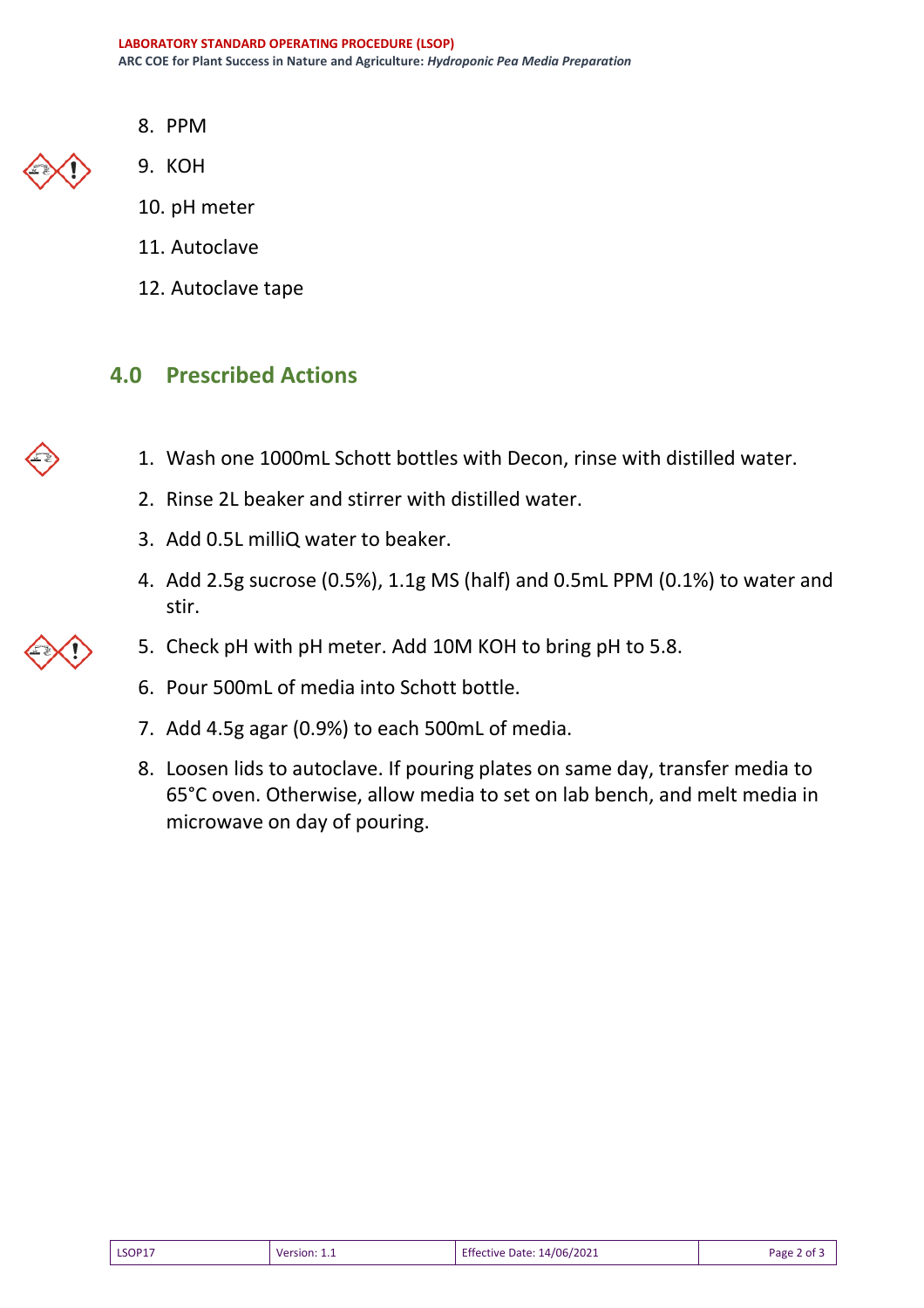8. PPM



- 9. KOH
- 10. pH meter
- 11. Autoclave
- 12. Autoclave tape

## **4.0 Prescribed Actions**

- 1. Wash one 1000mL Schott bottles with Decon, rinse with distilled water.
- 2. Rinse 2L beaker and stirrer with distilled water.
- 3. Add 0.5L milliQ water to beaker.
- 4. Add 2.5g sucrose (0.5%), 1.1g MS (half) and 0.5mL PPM (0.1%) to water and stir.
- 5. Check pH with pH meter. Add 10M KOH to bring pH to 5.8.
- 6. Pour 500mL of media into Schott bottle.
- 7. Add 4.5g agar (0.9%) to each 500mL of media.
- 8. Loosen lids to autoclave. If pouring plates on same day, transfer media to 65°C oven. Otherwise, allow media to set on lab bench, and melt media in microwave on day of pouring.

| LSOP17 | Version: $1.1$ | <b>Effective Date: 14/06/2021</b> | Page 2 of 3 |
|--------|----------------|-----------------------------------|-------------|
|--------|----------------|-----------------------------------|-------------|